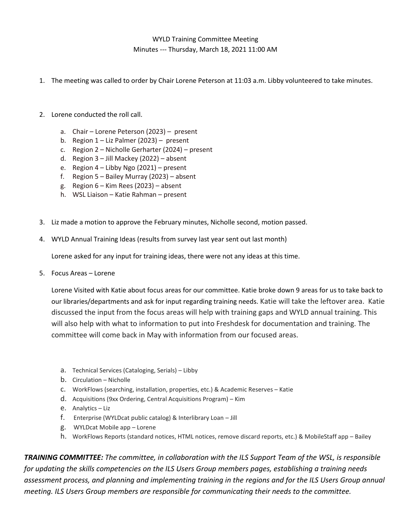## WYLD Training Committee Meeting Minutes --- Thursday, March 18, 2021 11:00 AM

- 1. The meeting was called to order by Chair Lorene Peterson at 11:03 a.m. Libby volunteered to take minutes.
- 2. Lorene conducted the roll call.
	- a. Chair Lorene Peterson (2023) present
	- b. Region  $1 -$  Liz Palmer (2023) present
	- c. Region 2 Nicholle Gerharter (2024) present
	- d. Region 3 Jill Mackey (2022) absent
	- e. Region 4 Libby Ngo (2021) present
	- f. Region 5 Bailey Murray (2023) absent
	- g. Region 6 Kim Rees (2023) absent
	- h. WSL Liaison Katie Rahman present
- 3. Liz made a motion to approve the February minutes, Nicholle second, motion passed.
- 4. WYLD Annual Training Ideas (results from survey last year sent out last month)

Lorene asked for any input for training ideas, there were not any ideas at this time.

5. Focus Areas – Lorene

Lorene Visited with Katie about focus areas for our committee. Katie broke down 9 areas for us to take back to our libraries/departments and ask for input regarding training needs. Katie will take the leftover area. Katie discussed the input from the focus areas will help with training gaps and WYLD annual training. This will also help with what to information to put into Freshdesk for documentation and training. The committee will come back in May with information from our focused areas.

- a. Technical Services (Cataloging, Serials) Libby
- b. Circulation Nicholle
- c. WorkFlows (searching, installation, properties, etc.) & Academic Reserves Katie
- d. Acquisitions (9xx Ordering, Central Acquisitions Program) Kim
- e. Analytics Liz
- f. Enterprise (WYLDcat public catalog) & Interlibrary Loan Jill
- g. WYLDcat Mobile app Lorene
- h. WorkFlows Reports (standard notices, HTML notices, remove discard reports, etc.) & MobileStaff app Bailey

*TRAINING COMMITTEE: The committee, in collaboration with the ILS Support Team of the WSL, is responsible for updating the skills competencies on the ILS Users Group members pages, establishing a training needs assessment process, and planning and implementing training in the regions and for the ILS Users Group annual meeting. ILS Users Group members are responsible for communicating their needs to the committee.*